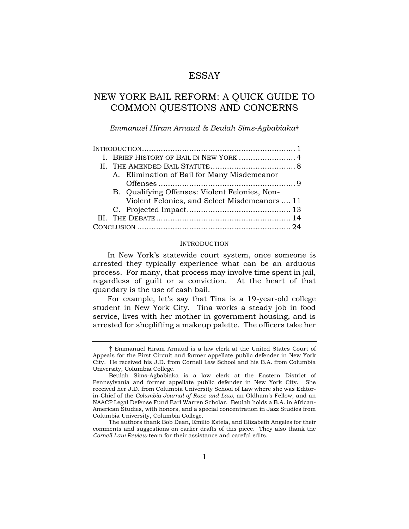# ESSAY

# NEW YORK BAIL REFORM: A QUICK GUIDE TO COMMON QUESTIONS AND CONCERNS

*Emmanuel Hiram Arnaud & Beulah Sims-Agbabiaka*†

|  | I. BRIEF HISTORY OF BAIL IN NEW YORK  4 |                                                |  |
|--|-----------------------------------------|------------------------------------------------|--|
|  |                                         |                                                |  |
|  |                                         | A. Elimination of Bail for Many Misdemeanor    |  |
|  |                                         |                                                |  |
|  |                                         | B. Qualifying Offenses: Violent Felonies, Non- |  |
|  |                                         | Violent Felonies, and Select Misdemeanors  11  |  |
|  |                                         |                                                |  |
|  |                                         |                                                |  |
|  |                                         |                                                |  |

### INTRODUCTION

In New York's statewide court system, once someone is arrested they typically experience what can be an arduous process. For many, that process may involve time spent in jail, regardless of guilt or a conviction. At the heart of that quandary is the use of cash bail.

For example, let's say that Tina is a 19-year-old college student in New York City. Tina works a steady job in food service, lives with her mother in government housing, and is arrested for shoplifting a makeup palette. The officers take her

<sup>†</sup> Emmanuel Hiram Arnaud is a law clerk at the United States Court of Appeals for the First Circuit and former appellate public defender in New York City. He received his J.D. from Cornell Law School and his B.A. from Columbia University, Columbia College.

Beulah Sims-Agbabiaka is a law clerk at the Eastern District of Pennsylvania and former appellate public defender in New York City. She received her J.D. from Columbia University School of Law where she was Editorin-Chief of the *Columbia Journal of Race and Law*, an Oldham's Fellow, and an NAACP Legal Defense Fund Earl Warren Scholar. Beulah holds a B.A. in African-American Studies, with honors, and a special concentration in Jazz Studies from Columbia University, Columbia College.

The authors thank Bob Dean, Emilio Estela, and Elizabeth Angeles for their comments and suggestions on earlier drafts of this piece. They also thank the *Cornell Law Review* team for their assistance and careful edits.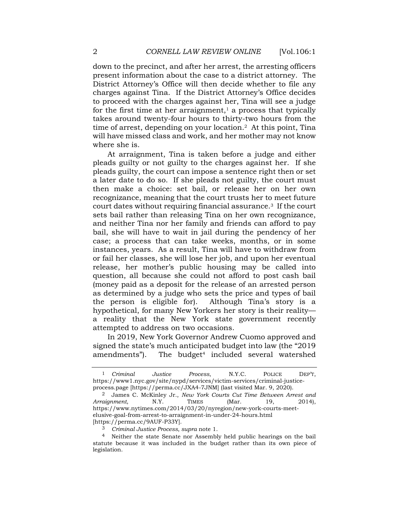down to the precinct, and after her arrest, the arresting officers present information about the case to a district attorney. The District Attorney's Office will then decide whether to file any charges against Tina. If the District Attorney's Office decides to proceed with the charges against her, Tina will see a judge for the first time at her arraignment, $1$  a process that typically takes around twenty-four hours to thirty-two hours from the time of arrest, depending on your location.2 At this point, Tina will have missed class and work, and her mother may not know where she is.

At arraignment, Tina is taken before a judge and either pleads guilty or not guilty to the charges against her. If she pleads guilty, the court can impose a sentence right then or set a later date to do so. If she pleads not guilty, the court must then make a choice: set bail, or release her on her own recognizance, meaning that the court trusts her to meet future court dates without requiring financial assurance.3 If the court sets bail rather than releasing Tina on her own recognizance, and neither Tina nor her family and friends can afford to pay bail, she will have to wait in jail during the pendency of her case; a process that can take weeks, months, or in some instances, years. As a result, Tina will have to withdraw from or fail her classes, she will lose her job, and upon her eventual release, her mother's public housing may be called into question, all because she could not afford to post cash bail (money paid as a deposit for the release of an arrested person as determined by a judge who sets the price and types of bail the person is eligible for). Although Tina's story is a hypothetical, for many New Yorkers her story is their reality a reality that the New York state government recently attempted to address on two occasions.

In 2019, New York Governor Andrew Cuomo approved and signed the state's much anticipated budget into law (the "2019 amendments"). The budget<sup>4</sup> included several watershed

<sup>1</sup> *Criminal Justice Process*, N.Y.C. POLICE DEP'T, https://www1.nyc.gov/site/nypd/services/victim-services/criminal-justiceprocess.page [https://perma.cc/JXA4-7JNM] (last visited Mar. 9, 2020)[.](about:blank)

<sup>2</sup> James C. McKinley Jr., *New York Courts Cut Time Between Arrest and Arraignment*, N.Y. TIMES (Mar. 19, 2014)[,](about:blank) [https://www.nytimes.com/2014/03/20/nyregion/new-york-courts-meet](about:blank)[elusive-goal-from-arrest-to-arraignment-in-under-24-hours.html](about:blank) [https://perma.cc/9AUF-P33Y].

<sup>3</sup> *Criminal Justice Process*, *supra* note 1.

<sup>4</sup> Neither the state Senate nor Assembly held public hearings on the bail statute because it was included in the budget rather than its own piece of legislation.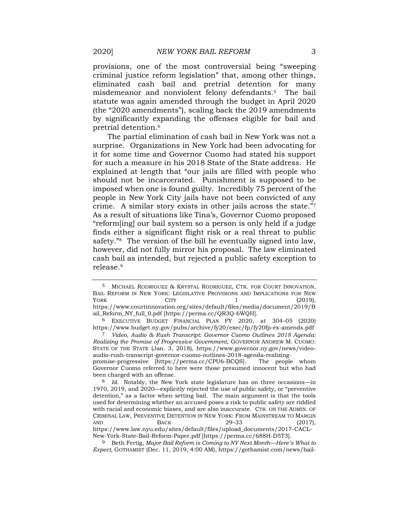provisions, one of the most controversial being "sweeping criminal justice reform legislation" that, among other things, eliminated cash bail and pretrial detention for many misdemeanor and nonviolent felony defendants.5 The bail statute was again amended through the budget in April 2020 (the "2020 amendments"), scaling back the 2019 amendments by significantly expanding the offenses eligible for bail and pretrial detention.<sup>6</sup>

The partial elimination of cash bail in New York was not a surprise. Organizations in New York had been advocating for it for some time and Governor Cuomo had stated his support for such a measure in his 2018 State of the State address. He explained at length that "our jails are filled with people who should not be incarcerated. Punishment is supposed to be imposed when one is found guilty. Incredibly 75 percent of the people in New York City jails have not been convicted of any crime. A similar story exists in other jails across the state."<sup>7</sup> As a result of situations like Tina's, Governor Cuomo proposed "reform[ing] our bail system so a person is only held if a judge finds either a significant flight risk or a real threat to public safety."<sup>8</sup> The version of the bill he eventually signed into law, however, did not fully mirror his proposal. The law eliminated cash bail as intended, but rejected a public safety exception to release.<sup>9</sup>

6 EXECUTIVE BUDGET FINANCIAL PLAN FY 2020, at 304–05 (2020) https://www.budget.ny.gov/pubs/archive/fy20/exec/fp/fy20fp-ex-amends.pdf

7 *Video, Audio & Rush Transcript: Governor Cuomo Outlines 2018 Agenda: Realizing the Promise of Progressive Government*, GOVERNOR ANDREW M. CUOMO: STATE OF THE STATE (Jan. 3, 2018), [https://www.governor.ny.gov/news/video](about:blank)[audio-rush-transcript-governor-cuomo-outlines-2018-agenda-realizing](about:blank)[promise-progressive](about:blank) [https://perma.cc/CPU6-BCQS]. The people whom

Governor Cuomo referred to here were those presumed innocent but who had been charged with an offense.

<sup>5</sup> MICHAEL RODRIGUEZ & KRYSTAL RODRIGUEZ, CTR. FOR COURT INNOVATION, BAIL REFORM IN NEW YORK: LEGISLATIVE PROVISIONS AND IMPLICATIONS FOR NEW  $Y$ ORK CITY 1 (2019), [https://www.courtinnovation.org/sites/default/files/media/document/2019/B](about:blank) [ail\\_Reform\\_NY\\_full\\_0.pdf](about:blank) [https://perma.cc/QR3Q-6WQH].

<sup>8</sup> *Id.* Notably, the New York state legislature has on three occasions—in 1970, 2019, and 2020—explicitly rejected the use of public safety, or "preventive detention," as a factor when setting bail. The main argument is that the tools used for determining whether an accused poses a risk to public safety are riddled with racial and economic biases, and are also inaccurate. CTR. ON THE ADMIN. OF CRIMINAL LAW, PREVENTIVE DETENTION IN NEW YORK: FROM MAINSTREAM TO MARGIN AND BACK 29-33 (2017), [https://www.law.nyu.edu/sites/default/files/upload\\_documents/2017-CACL-](about:blank)[New-York-State-Bail-Reform-Paper.pdf](about:blank) [https://perma.cc/688H-D5T3].

<sup>9</sup> Beth Fertig, *Major Bail Reform is Coming to NY Next Month—Here's What to Expect*, GOTHAMIST (Dec. 11, 2019, 4:00 AM), [https://gothamist.com/news/bail-](about:blank)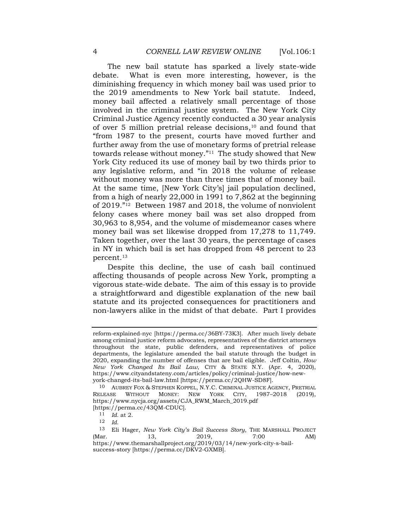The new bail statute has sparked a lively state-wide debate. What is even more interesting, however, is the diminishing frequency in which money bail was used prior to the 2019 amendments to New York bail statute. Indeed, money bail affected a relatively small percentage of those involved in the criminal justice system. The New York City Criminal Justice Agency recently conducted a 30 year analysis of over 5 million pretrial release decisions, $10$  and found that "from 1987 to the present, courts have moved further and further away from the use of monetary forms of pretrial release towards release without money."11 The study showed that New York City reduced its use of money bail by two thirds prior to any legislative reform, and "in 2018 the volume of release without money was more than three times that of money bail. At the same time, [New York City's] jail population declined, from a high of nearly 22,000 in 1991 to 7,862 at the beginning of 2019." <sup>12</sup> Between 1987 and 2018, the volume of nonviolent felony cases where money bail was set also dropped from 30,963 to 8,954, and the volume of misdemeanor cases where money bail was set likewise dropped from 17,278 to 11,749. Taken together, over the last 30 years, the percentage of cases in NY in which bail is set has dropped from 48 percent to 23 percent.<sup>13</sup>

Despite this decline, the use of cash bail continued affecting thousands of people across New York, prompting a vigorous state-wide debate. The aim of this essay is to provide a straightforward and digestible explanation of the new bail statute and its projected consequences for practitioners and non-lawyers alike in the midst of that debate. Part I provides

[reform-explained-nyc](about:blank) [https://perma.cc/36BY-73K3]. After much lively debate among criminal justice reform advocates, representatives of the district attorneys throughout the state, public defenders, and representatives of police departments, the legislature amended the bail statute through the budget in 2020, expanding the number of offenses that are bail eligible. Jeff Coltin, *How New York Changed Its Bail Law*, CITY & STATE N.Y. (Apr. 4, 2020), [https://www.cityandstateny.com/articles/policy/criminal-justice/how-new](about:blank)[york-changed-its-bail-law.html](about:blank) [https://perma.cc/2QHW-SD8F].

<sup>10</sup> AUBREY FOX & STEPHEN KOPPEL, N.Y.C. CRIMINAL JUSTICE AGENCY, PRETRIAL RELEASE WITHOUT MONEY: NEW YORK CITY, 1987–2018 (2019)[,](about:blank) [https://www.nycja.org/assets/CJA\\_RWM\\_March\\_2019.pdf](about:blank)

<sup>[</sup>https://perma.cc/43QM-CDUC].

<sup>11</sup> *Id.* at 2.

<sup>12</sup> *Id*.

<sup>13</sup> Eli Hager, *New York City's Bail Success Story*, THE MARSHALL PROJECT (Mar. 13, 2019, 7:00 AM[\)](about:blank) [https://www.themarshallproject.org/2019/03/14/new-york-city-s-bail](about:blank)[success-story](about:blank) [https://perma.cc/DKV2-GXMB].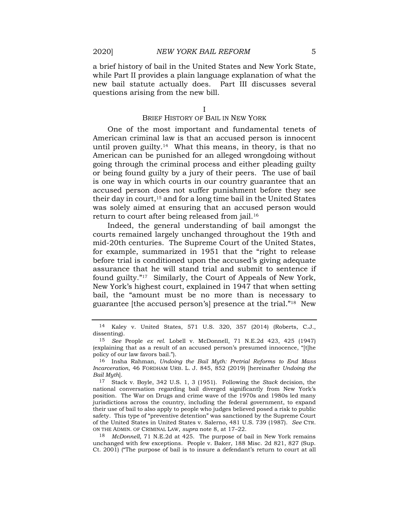a brief history of bail in the United States and New York State, while Part II provides a plain language explanation of what the new bail statute actually does. Part III discusses several questions arising from the new bill.

I

### BRIEF HISTORY OF BAIL IN NEW YORK

One of the most important and fundamental tenets of American criminal law is that an accused person is innocent until proven guilty.<sup>14</sup> What this means, in theory, is that no American can be punished for an alleged wrongdoing without going through the criminal process and either pleading guilty or being found guilty by a jury of their peers. The use of bail is one way in which courts in our country guarantee that an accused person does not suffer punishment before they see their day in court,<sup>15</sup> and for a long time bail in the United States was solely aimed at ensuring that an accused person would return to court after being released from jail.<sup>16</sup>

Indeed, the general understanding of bail amongst the courts remained largely unchanged throughout the 19th and mid-20th centuries. The Supreme Court of the United States, for example, summarized in 1951 that the "right to release before trial is conditioned upon the accused's giving adequate assurance that he will stand trial and submit to sentence if found guilty."17 Similarly, the Court of Appeals of New York, New York's highest court, explained in 1947 that when setting bail, the "amount must be no more than is necessary to guarantee [the accused person's] presence at the trial."18 New

18 *McDonnell*, 71 N.E.2d at 425. The purpose of bail in New York remains unchanged with few exceptions. People v. Baker, 188 Misc. 2d 821, 827 (Sup. Ct. 2001) ("The purpose of bail is to insure a defendant's return to court at all

<sup>14</sup> Kaley v. United States, 571 U.S. 320, 357 (2014) (Roberts, C.J., dissenting).

<sup>15</sup> *See* People *ex rel.* Lobell v. McDonnell, 71 N.E.2d 423, 425 (1947) (explaining that as a result of an accused person's presumed innocence, "[t]he policy of our law favors bail.").

<sup>16</sup> Insha Rahman, *Undoing the Bail Myth: Pretrial Reforms to End Mass Incarceration*, 46 FORDHAM URB. L. J. 845, 852 (2019) [hereinafter *Undoing the Bail Myth*].

<sup>17</sup> Stack v. Boyle, 342 U.S. 1, 3 (1951). Following the *Stack* decision, the national conversation regarding bail diverged significantly from New York's position. The War on Drugs and crime wave of the 1970s and 1980s led many jurisdictions across the country, including the federal government, to expand their use of bail to also apply to people who judges believed posed a risk to public safety. This type of "preventive detention" was sanctioned by the Supreme Court of the United States in United States v. Salerno, 481 U.S. 739 (1987). *See* CTR. ON THE ADMIN. OF CRIMINAL LAW, *supra* note 8, at 17–22.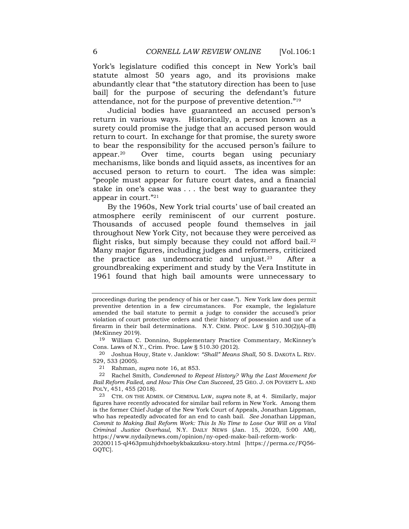York's legislature codified this concept in New York's bail statute almost 50 years ago, and its provisions make abundantly clear that "the statutory direction has been to [use bail] for the purpose of securing the defendant's future attendance, not for the purpose of preventive detention."<sup>19</sup>

Judicial bodies have guaranteed an accused person's return in various ways. Historically, a person known as a surety could promise the judge that an accused person would return to court. In exchange for that promise, the surety swore to bear the responsibility for the accused person's failure to appear.20 Over time, courts began using pecuniary mechanisms, like bonds and liquid assets, as incentives for an accused person to return to court. The idea was simple: "people must appear for future court dates, and a financial stake in one's case was . . . the best way to guarantee they appear in court."<sup>21</sup>

By the 1960s, New York trial courts' use of bail created an atmosphere eerily reminiscent of our current posture. Thousands of accused people found themselves in jail throughout New York City, not because they were perceived as flight risks, but simply because they could not afford bail. $22$ Many major figures, including judges and reformers, criticized the practice as undemocratic and unjust.23 After a groundbreaking experiment and study by the Vera Institute in 1961 found that high bail amounts were unnecessary to

21 Rahman, *supra* note 16, at 853.

GQTC].

proceedings during the pendency of his or her case."). New York law does permit preventive detention in a few circumstances. For example, the legislature amended the bail statute to permit a judge to consider the accused's prior violation of court protective orders and their history of possession and use of a firearm in their bail determinations. N.Y. CRIM. PROC. LAW  $\S$  510.30(2)(A)–(B) (McKinney 2019).

<sup>19</sup> William C. Donnino, Supplementary Practice Commentary, McKinney's Cons. Laws of N.Y., Crim. Proc. Law § 510.30 (2012).

<sup>20</sup> Joshua Houy, State v. Janklow: *"Shall" Means Shall*, 50 S. DAKOTA L. REV. 529, 533 (2005).

<sup>22</sup> Rachel Smith, *Condemned to Repeat History? Why the Last Movement for Bail Reform Failed, and How This One Can Succeed*, 25 GEO. J. ON POVERTY L. AND POL'Y, 451, 455 (2018).

<sup>23</sup> CTR. ON THE ADMIN. OF CRIMINAL LAW, *supra* note 8, at 4. Similarly, major figures have recently advocated for similar bail reform in New York. Among them is the former Chief Judge of the New York Court of Appeals, Jonathan Lippman, who has repeatedly advocated for an end to cash bail. *See* Jonathan Lippman, *Commit to Making Bail Reform Work: This Is No Time to Lose Our Will on a Vital Criminal Justice Overhaul*, N.Y. DAILY NEWS (Jan. 15, 2020, 5:00 AM), [https://www.nydailynews.com/opinion/ny-oped-make-bail-reform-work-](about:blank)[20200115-ql463pmuhjdvhoebykbakzzksu-story.html](about:blank) [https://perma.cc/FQ56-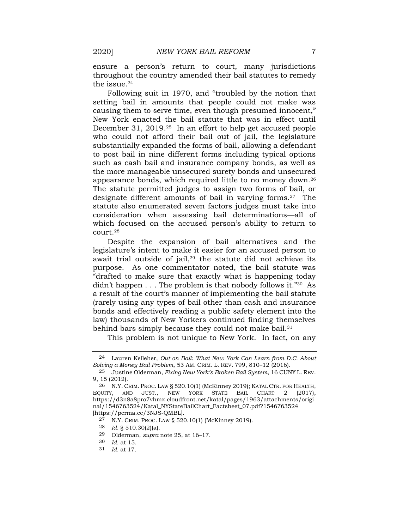ensure a person's return to court, many jurisdictions throughout the country amended their bail statutes to remedy the issue.<sup>24</sup>

Following suit in 1970, and "troubled by the notion that setting bail in amounts that people could not make was causing them to serve time, even though presumed innocent," New York enacted the bail statute that was in effect until December 31, 2019.25 In an effort to help get accused people who could not afford their bail out of jail, the legislature substantially expanded the forms of bail, allowing a defendant to post bail in nine different forms including typical options such as cash bail and insurance company bonds, as well as the more manageable unsecured surety bonds and unsecured appearance bonds, which required little to no money down.<sup>26</sup> The statute permitted judges to assign two forms of bail, or designate different amounts of bail in varying forms.<sup>27</sup> The statute also enumerated seven factors judges must take into consideration when assessing bail determinations—all of which focused on the accused person's ability to return to court.<sup>28</sup>

Despite the expansion of bail alternatives and the legislature's intent to make it easier for an accused person to await trial outside of jail, $29$  the statute did not achieve its purpose. As one commentator noted, the bail statute was "drafted to make sure that exactly what is happening today didn't happen . . . The problem is that nobody follows it."30 As a result of the court's manner of implementing the bail statute (rarely using any types of bail other than cash and insurance bonds and effectively reading a public safety element into the law) thousands of New Yorkers continued finding themselves behind bars simply because they could not make bail.<sup>31</sup>

This problem is not unique to New York. In fact, on any

27 N.Y. CRIM. PROC. LAW § 520.10(1) (McKinney 2019).

28 *Id.* § 510.30(2)(a).

<sup>24</sup> Lauren Kelleher, *Out on Bail: What New York Can Learn from D.C. About Solving a Money Bail Problem*, 53 AM. CRIM. L. REV. 799, 810–12 (2016).

<sup>25</sup> Justine Olderman, *Fixing New York's Broken Bail System*, 16 CUNY L. REV. 9, 15 (2012).

<sup>26</sup> N.Y. CRIM. PROC. LAW § 520.10(1) (McKinney 2019); KATAL CTR. FOR HEALTH, EQUITY, AND JUST., NEW YORK STATE BAIL CHART 2 (2017), [https://d3n8a8pro7vhmx.cloudfront.net/katal/pages/1963/attachments/origi](about:blank) [nal/1546763524/Katal\\_NYStateBailChart\\_Factsheet\\_07.pdf?1546763524](about:blank) [https://perma.cc/3NJS-QMBL].

<sup>29</sup> Olderman, *supra* note 25, at 16–17.

<sup>30</sup> *Id.* at 15.

<sup>31</sup> *Id.* at 17.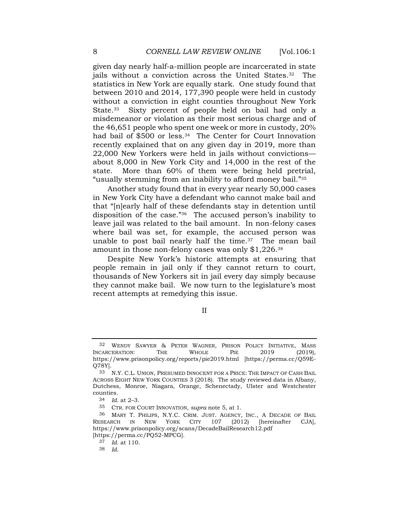given day nearly half-a-million people are incarcerated in state jails without a conviction across the United States.32 The statistics in New York are equally stark. One study found that between 2010 and 2014, 177,390 people were held in custody without a conviction in eight counties throughout New York State.<sup>33</sup> Sixty percent of people held on bail had only a misdemeanor or violation as their most serious charge and of the 46,651 people who spent one week or more in custody, 20% had bail of \$500 or less.<sup>34</sup> The Center for Court Innovation recently explained that on any given day in 2019, more than 22,000 New Yorkers were held in jails without convictions about 8,000 in New York City and 14,000 in the rest of the state. More than 60% of them were being held pretrial, "usually stemming from an inability to afford money bail."<sup>35</sup>

Another study found that in every year nearly 50,000 cases in New York City have a defendant who cannot make bail and that "[n]early half of these defendants stay in detention until disposition of the case."<sup>36</sup> The accused person's inability to leave jail was related to the bail amount. In non-felony cases where bail was set, for example, the accused person was unable to post bail nearly half the time. $37$  The mean bail amount in those non-felony cases was only \$1,226.<sup>38</sup>

Despite New York's historic attempts at ensuring that people remain in jail only if they cannot return to court, thousands of New Yorkers sit in jail every day simply because they cannot make bail. We now turn to the legislature's most recent attempts at remedying this issue.

II

<sup>32</sup> WENDY SAWYER & PETER WAGNER, PRISON POLICY INITIATIVE, MASS INCARCERATION: THE WHOLE PIE 2019 (2019), [https://www.prisonpolicy.org/reports/pie2019.html](about:blank) [https://perma.cc/Q59E-Q78Y].

<sup>33</sup> N.Y. C.L. UNION, PRESUMED INNOCENT FOR A PRICE: THE IMPACT OF CASH BAIL ACROSS EIGHT NEW YORK COUNTIES 3 (2018). The study reviewed data in Albany, Dutchess, Monroe, Niagara, Orange, Schenectady, Ulster and Westchester counties.

<sup>34</sup> *Id.* at 2–3.

<sup>35</sup> CTR. FOR COURT INNOVATION, *supra* note 5, at 1.

<sup>36</sup> MARY T. PHILIPS, N.Y.C. CRIM. JUST. AGENCY, INC., A DECADE OF BAIL RESEARCH IN NEW YORK CITY 107 (2012) [hereinafter CJA], [https://www.prisonpolicy.org/scans/DecadeBailResearch12.pdf](about:blank) [https://perma.cc/PQ52-MPCG].

<sup>37</sup> *Id.* at 110.

<sup>38</sup> *Id.*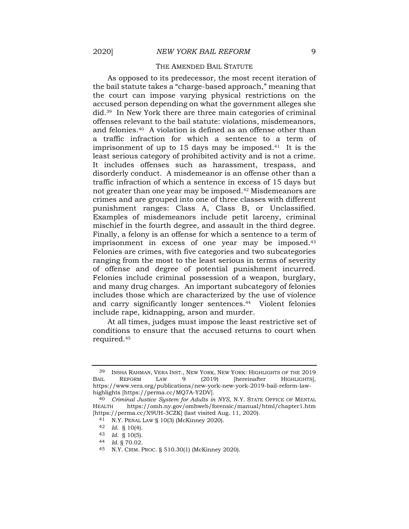### THE AMENDED BAIL STATUTE

As opposed to its predecessor, the most recent iteration of the bail statute takes a "charge-based approach," meaning that the court can impose varying physical restrictions on the accused person depending on what the government alleges she did.39 In New York there are three main categories of criminal offenses relevant to the bail statute: violations, misdemeanors, and felonies.40 A violation is defined as an offense other than a traffic infraction for which a sentence to a term of imprisonment of up to 15 days may be imposed.<sup>41</sup> It is the least serious category of prohibited activity and is not a crime. It includes offenses such as harassment, trespass, and disorderly conduct. A misdemeanor is an offense other than a traffic infraction of which a sentence in excess of 15 days but not greater than one year may be imposed.<sup>42</sup> Misdemeanors are crimes and are grouped into one of three classes with different punishment ranges: Class A, Class B, or Unclassified. Examples of misdemeanors include petit larceny, criminal mischief in the fourth degree, and assault in the third degree. Finally, a felony is an offense for which a sentence to a term of imprisonment in excess of one year may be imposed.<sup>43</sup> Felonies are crimes, with five categories and two subcategories ranging from the most to the least serious in terms of severity of offense and degree of potential punishment incurred. Felonies include criminal possession of a weapon, burglary, and many drug charges. An important subcategory of felonies includes those which are characterized by the use of violence and carry significantly longer sentences.44 Violent felonies include rape, kidnapping, arson and murder.

At all times, judges must impose the least restrictive set of conditions to ensure that the accused returns to court when required.<sup>45</sup>

<sup>39</sup> INSHA RAHMAN, VERA INST., NEW YORK, NEW YORK: HIGHLIGHTS OF THE 2019 BAIL REFORM LAW 9 (2019) [hereinafter HIGHLIGHTS], [https://www.vera.org/publications/new-york-new-york-2019-bail-reform-law](about:blank)[highlights](about:blank) [https://perma.cc/MQ7A-Y2DV].

<sup>40</sup> *Criminal Justice System for Adults in NYS*, N.Y. STATE OFFICE OF MENTAL HEALTH [https://omh.ny.gov/omhweb/forensic/manual/html/chapter1.htm](about:blank) [https://perma.cc/X9UH-3CZK] (last visited Aug. 11, 2020).

<sup>41</sup> N.Y. PENAL LAW § 10(3) (McKinney 2020).

<sup>42</sup> *Id.* § 10(4).

<sup>43</sup> *Id.* § 10(5).

<sup>44</sup> *Id.* § 70.02.

<sup>45</sup> N.Y. CRIM. PROC. § 510.30(1) (McKinney 2020).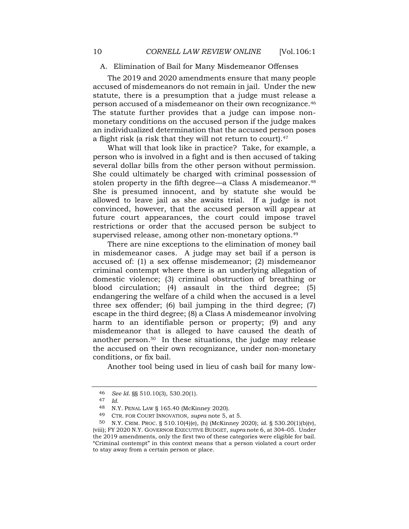## A. Elimination of Bail for Many Misdemeanor Offenses

The 2019 and 2020 amendments ensure that many people accused of misdemeanors do not remain in jail. Under the new statute, there is a presumption that a judge must release a person accused of a misdemeanor on their own recognizance.<sup>46</sup> The statute further provides that a judge can impose nonmonetary conditions on the accused person if the judge makes an individualized determination that the accused person poses a flight risk (a risk that they will not return to court).<sup>47</sup>

What will that look like in practice? Take, for example, a person who is involved in a fight and is then accused of taking several dollar bills from the other person without permission. She could ultimately be charged with criminal possession of stolen property in the fifth degree—a Class A misdemeanor.<sup>48</sup> She is presumed innocent, and by statute she would be allowed to leave jail as she awaits trial. If a judge is not convinced, however, that the accused person will appear at future court appearances, the court could impose travel restrictions or order that the accused person be subject to supervised release, among other non-monetary options.<sup>49</sup>

There are nine exceptions to the elimination of money bail in misdemeanor cases. A judge may set bail if a person is accused of: (1) a sex offense misdemeanor; (2) misdemeanor criminal contempt where there is an underlying allegation of domestic violence; (3) criminal obstruction of breathing or blood circulation; (4) assault in the third degree; (5) endangering the welfare of a child when the accused is a level three sex offender; (6) bail jumping in the third degree; (7) escape in the third degree; (8) a Class A misdemeanor involving harm to an identifiable person or property; (9) and any misdemeanor that is alleged to have caused the death of another person.50 In these situations, the judge may release the accused on their own recognizance, under non-monetary conditions, or fix bail.

Another tool being used in lieu of cash bail for many low-

<sup>46</sup> *See Id.* §§ 510.10(3), 530.20(1).

<sup>47</sup> *Id.*

<sup>48</sup> N.Y. PENAL LAW § 165.40 (McKinney 2020).

<sup>49</sup> CTR. FOR COURT INNOVATION, *supra* note 5, at 5.

<sup>50</sup> N.Y. CRIM. PROC. § 510.10(4)(e), (h) (McKinney 2020); *id.* § 530.20(1)(b)(v), (viii); FY 2020 N.Y. GOVERNOR EXECUTIVE BUDGET, *supra* note 6, at 304–05. Under the 2019 amendments, only the first two of these categories were eligible for bail. "Criminal contempt" in this context means that a person violated a court order to stay away from a certain person or place.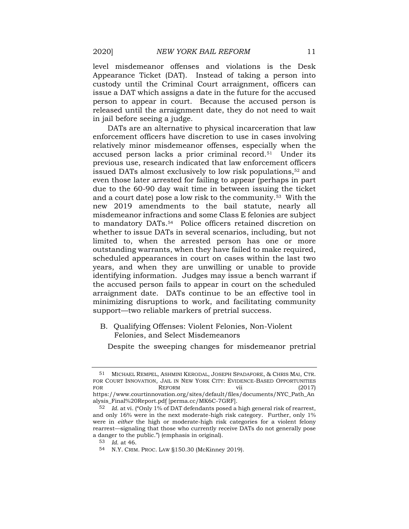level misdemeanor offenses and violations is the Desk Appearance Ticket (DAT). Instead of taking a person into custody until the Criminal Court arraignment, officers can issue a DAT which assigns a date in the future for the accused person to appear in court. Because the accused person is released until the arraignment date, they do not need to wait in jail before seeing a judge.

DATs are an alternative to physical incarceration that law enforcement officers have discretion to use in cases involving relatively minor misdemeanor offenses, especially when the accused person lacks a prior criminal record.51 Under its previous use, research indicated that law enforcement officers issued DATs almost exclusively to low risk populations,<sup>52</sup> and even those later arrested for failing to appear (perhaps in part due to the 60-90 day wait time in between issuing the ticket and a court date) pose a low risk to the community.53 With the new 2019 amendments to the bail statute, nearly all misdemeanor infractions and some Class E felonies are subject to mandatory DATs.54 Police officers retained discretion on whether to issue DATs in several scenarios, including, but not limited to, when the arrested person has one or more outstanding warrants, when they have failed to make required, scheduled appearances in court on cases within the last two years, and when they are unwilling or unable to provide identifying information. Judges may issue a bench warrant if the accused person fails to appear in court on the scheduled arraignment date. DATs continue to be an effective tool in minimizing disruptions to work, and facilitating community support—two reliable markers of pretrial success.

## B. Qualifying Offenses: Violent Felonies, Non-Violent Felonies, and Select Misdemeanors

Despite the sweeping changes for misdemeanor pretrial

<sup>51</sup> MICHAEL REMPEL, ASHMINI KERODAL, JOSEPH SPADAFORE, & CHRIS MAI, CTR. FOR COURT INNOVATION, JAIL IN NEW YORK CITY: EVIDENCE-BASED OPPORTUNITIES FOR REFORM vii (2017) [https://www.courtinnovation.org/sites/default/files/documents/NYC\\_Path\\_An](about:blank) [alysis\\_Final%20Report.pdf](about:blank) [perma.cc/MK6C-7GRF].

<sup>52</sup> *Id.* at vi. ("Only 1% of DAT defendants posed a high general risk of rearrest, and only 16% were in the next moderate-high risk category. Further, only 1% were in *either* the high or moderate-high risk categories for a violent felony rearrest—signaling that those who currently receive DATs do not generally pose a danger to the public.") (emphasis in original).

<sup>53</sup> *Id*. at 46.

<sup>54</sup> N.Y. CRIM. PROC. LAW §150.30 (McKinney 2019).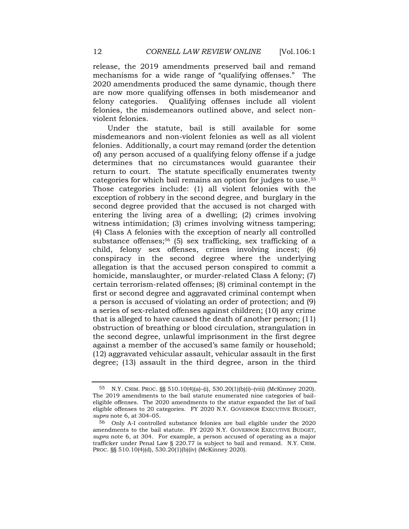release, the 2019 amendments preserved bail and remand mechanisms for a wide range of "qualifying offenses." The 2020 amendments produced the same dynamic, though there are now more qualifying offenses in both misdemeanor and felony categories. Qualifying offenses include all violent felonies, the misdemeanors outlined above, and select nonviolent felonies.

Under the statute, bail is still available for some misdemeanors and non-violent felonies as well as all violent felonies. Additionally, a court may remand (order the detention of) any person accused of a qualifying felony offense if a judge determines that no circumstances would guarantee their return to court. The statute specifically enumerates twenty categories for which bail remains an option for judges to use.<sup>55</sup> Those categories include: (1) all violent felonies with the exception of robbery in the second degree, and burglary in the second degree provided that the accused is not charged with entering the living area of a dwelling; (2) crimes involving witness intimidation; (3) crimes involving witness tampering; (4) Class A felonies with the exception of nearly all controlled substance offenses;<sup>56</sup> (5) sex trafficking, sex trafficking of a child, felony sex offenses, crimes involving incest; (6) conspiracy in the second degree where the underlying allegation is that the accused person conspired to commit a homicide, manslaughter, or murder-related Class A felony; (7) certain terrorism-related offenses; (8) criminal contempt in the first or second degree and aggravated criminal contempt when a person is accused of violating an order of protection; and (9) a series of sex-related offenses against children; (10) any crime that is alleged to have caused the death of another person; (11) obstruction of breathing or blood circulation, strangulation in the second degree, unlawful imprisonment in the first degree against a member of the accused's same family or household; (12) aggravated vehicular assault, vehicular assault in the first degree; (13) assault in the third degree, arson in the third

<sup>55</sup> N.Y. CRIM. PROC. §§ 510.10(4)(a)–(i), 530.20(1)(b)(i)–(viii) (McKinney 2020). The 2019 amendments to the bail statute enumerated nine categories of baileligible offenses. The 2020 amendments to the statue expanded the list of bail eligible offenses to 20 categories. FY 2020 N.Y. GOVERNOR EXECUTIVE BUDGET, *supra* note 6, at 304–05.

<sup>56</sup> Only A-I controlled substance felonies are bail eligible under the 2020 amendments to the bail statute. FY 2020 N.Y. GOVERNOR EXECUTIVE BUDGET, *supra* note 6, at 304. For example, a person accused of operating as a major trafficker under Penal Law § 220.77 is subject to bail and remand. N.Y. CRIM. PROC. §§ 510.10(4)(d), 530.20(1)(b)(iv) (McKinney 2020).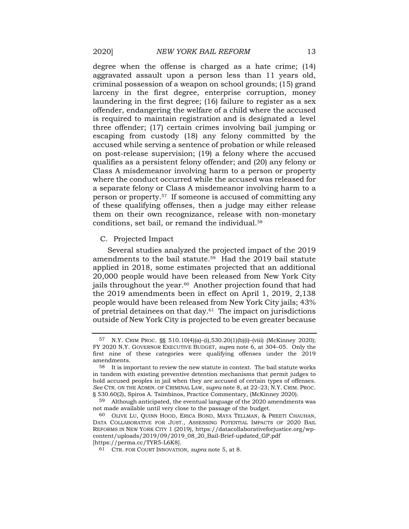degree when the offense is charged as a hate crime; (14) aggravated assault upon a person less than 11 years old, criminal possession of a weapon on school grounds; (15) grand larceny in the first degree, enterprise corruption, money laundering in the first degree; (16) failure to register as a sex offender, endangering the welfare of a child where the accused is required to maintain registration and is designated a level three offender; (17) certain crimes involving bail jumping or escaping from custody (18) any felony committed by the accused while serving a sentence of probation or while released on post-release supervision; (19) a felony where the accused qualifies as a persistent felony offender; and (20) any felony or Class A misdemeanor involving harm to a person or property where the conduct occurred while the accused was released for a separate felony or Class A misdemeanor involving harm to a person or property.57 If someone is accused of committing any of these qualifying offenses, then a judge may either release them on their own recognizance, release with non-monetary conditions, set bail, or remand the individual.<sup>58</sup>

### C. Projected Impact

Several studies analyzed the projected impact of the 2019 amendments to the bail statute.59 Had the 2019 bail statute applied in 2018, some estimates projected that an additional 20,000 people would have been released from New York City jails throughout the year.<sup>60</sup> Another projection found that had the 2019 amendments been in effect on April 1, 2019, 2,138 people would have been released from New York City jails; 43% of pretrial detainees on that day.61 The impact on jurisdictions outside of New York City is projected to be even greater because

<sup>57</sup> N.Y. CRIM PROC. §§ 510.10(4)(a)–(i),530.20(1)(b)(i)–(viii) (McKinney 2020); FY 2020 N.Y. GOVERNOR EXECUTIVE BUDGET, *supra* note 6, at 304–05. Only the first nine of these categories were qualifying offenses under the 2019 amendments.

 $58$  It is important to review the new statute in context. The bail statute works in tandem with existing preventive detention mechanisms that permit judges to hold accused peoples in jail when they are accused of certain types of offenses. *See* CTR. ON THE ADMIN. OF CRIMINAL LAW, *supra* note 8, at 22–23; N.Y. CRIM. PROC. § 530.60(2), Spiros A. Tsimbinos, Practice Commentary, (McKinney 2020).

<sup>59</sup> Although anticipated, the eventual language of the 2020 amendments was not made available until very close to the passage of the budget.

<sup>60</sup> OLIVE LU, QUINN HOOD, ERICA BOND, MAYA TELLMAN, & PREETI CHAUHAN, DATA COLLABORATIVE FOR JUST., ASSESSING POTENTIAL IMPACTS OF 2020 BAIL REFORMS IN NEW YORK CITY 1 (2019), [https://datacollaborativeforjustice.org/wp](about:blank)[content/uploads/2019/09/2019\\_08\\_20\\_Bail-Brief-updated\\_GP.pdf](about:blank) [https://perma.cc/TYR5-L6K8].

<sup>61</sup> CTR. FOR COURT INNOVATION, *supra* note 5, at 8.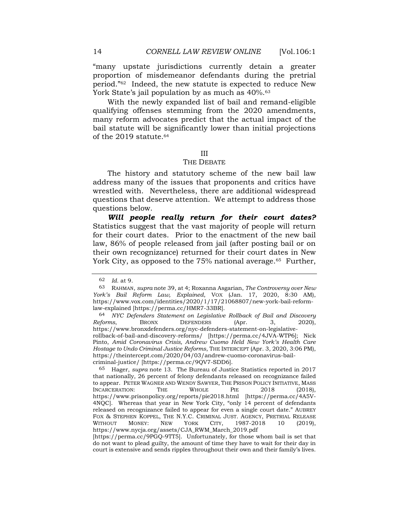"many upstate jurisdictions currently detain a greater proportion of misdemeanor defendants during the pretrial period."62 Indeed, the new statute is expected to reduce New York State's jail population by as much as  $40\%$ .<sup>63</sup>

With the newly expanded list of bail and remand-eligible qualifying offenses stemming from the 2020 amendments, many reform advocates predict that the actual impact of the bail statute will be significantly lower than initial projections of the 2019 statute.<sup>64</sup>

### III

### THE DEBATE

The history and statutory scheme of the new bail law address many of the issues that proponents and critics have wrestled with. Nevertheless, there are additional widespread questions that deserve attention. We attempt to address those questions below.

*Will people really return for their court dates?* Statistics suggest that the vast majority of people will return for their court dates. Prior to the enactment of the new bail law, 86% of people released from jail (after posting bail or on their own recognizance) returned for their court dates in New York City, as opposed to the 75% national average.<sup>65</sup> Further,

<sup>62</sup> *Id.* at 9.

<sup>63</sup> RAHMAN, *supra* note 39, at 4; Roxanna Asgarian, *The Controversy over New York's Bail Reform Law, Explained*, VOX (Jan. 17, 2020, 8:30 AM), [https://www.vox.com/identities/2020/1/17/21068807/new-york-bail-reform](about:blank)[law-explained](about:blank) [https://perma.cc/HMR7-33BR].

<sup>64</sup> *NYC Defenders Statement on Legislative Rollback of Bail and Discovery Reforms*, BRONX DEFENDERS (Apr. 3, 2020), [https://www.bronxdefenders.org/nyc-defenders-statement-on-legislative](about:blank)[rollback-of-bail-and-discovery-reforms/](about:blank) [https://perma.cc/4JVA-WTP6]; Nick Pinto, *Amid Coronavirus Crisis, Andrew Cuomo Held New York's Health Care Hostage to Undo Criminal Justice Reforms*, THE INTERCEPT (Apr. 3, 2020, 3:06 PM), [https://theintercept.com/2020/04/03/andrew-cuomo-coronavirus-bail](about:blank)[criminal-justice/](about:blank) [https://perma.cc/9QV7-SDD6].

<sup>65</sup> Hager, *supra* note 13. The Bureau of Justice Statistics reported in 2017 that nationally, 26 percent of felony defendants released on recognizance failed to appear. PETER WAGNER AND WENDY SAWYER, THE PRISON POLICY INITIATIVE, MASS INCARCERATION: THE WHOLE PIE 2018 (2018), [https://www.prisonpolicy.org/reports/pie2018.html](about:blank) [https://perma.cc/4A5V-4NQC]. Whereas that year in New York City, "only 14 percent of defendants released on recognizance failed to appear for even a single court date." AUBREY FOX & STEPHEN KOPPEL, THE N.Y.C. CRIMINAL JUST. AGENCY, PRETRIAL RELEASE WITHOUT MONEY: NEW YORK CITY, 1987-2018 10 (2019)[,](about:blank)  [https://www.nycja.org/assets/CJA\\_RWM\\_March\\_2019.pdf](about:blank)

<sup>[</sup>https://perma.cc/9PGQ-9TT5]. Unfortunately, for those whom bail is set that do not want to plead guilty, the amount of time they have to wait for their day in court is extensive and sends ripples throughout their own and their family's lives.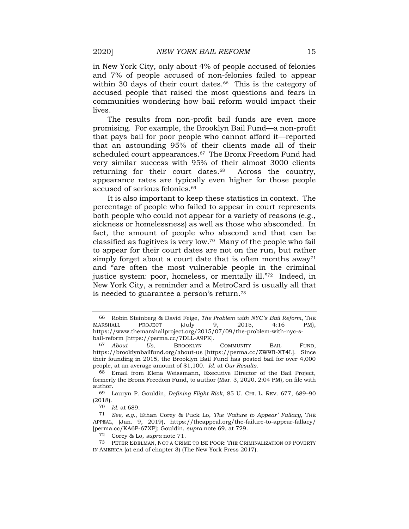in New York City, only about 4% of people accused of felonies and 7% of people accused of non-felonies failed to appear within 30 days of their court dates.<sup>66</sup> This is the category of accused people that raised the most questions and fears in communities wondering how bail reform would impact their lives.

The results from non-profit bail funds are even more promising. For example, the Brooklyn Bail Fund—a non-profit that pays bail for poor people who cannot afford it—reported that an astounding 95% of their clients made all of their scheduled court appearances.<sup>67</sup> The Bronx Freedom Fund had very similar success with 95% of their almost 3000 clients returning for their court dates.<sup>68</sup> Across the country, appearance rates are typically even higher for those people accused of serious felonies.<sup>69</sup>

It is also important to keep these statistics in context. The percentage of people who failed to appear in court represents both people who could not appear for a variety of reasons (e.g., sickness or homelessness) as well as those who absconded. In fact, the amount of people who abscond and that can be classified as fugitives is very low.70 Many of the people who fail to appear for their court dates are not on the run, but rather simply forget about a court date that is often months  $a_{\text{way}^{71}}$ and "are often the most vulnerable people in the criminal justice system: poor, homeless, or mentally ill."72 Indeed, in New York City, a reminder and a MetroCard is usually all that is needed to guarantee a person's return.<sup>73</sup>

<sup>66</sup> Robin Steinberg & David Feige, *The Problem with NYC's Bail Reform*, THE MARSHALL PROJECT (July 9, 2015, 4:16 PM), [https://www.themarshallproject.org/2015/07/09/the-problem-with-nyc-s](about:blank)[bail-reform](about:blank) [https://perma.cc/7DLL-A9PK].<br> $^{67}$  About Us, BROOKLYN

Us, BROOKLYN COMMUNITY BAIL FUND, [https://brooklynbailfund.org/about-us](about:blank) [https://perma.cc/ZW9B-XT4L]. Since their founding in 2015, the Brooklyn Bail Fund has posted bail for over 4,000 people, at an average amount of \$1,100. *Id.* at *Our Results*.

<sup>68</sup> Email from Elena Weissmann, Executive Director of the Bail Project, formerly the Bronx Freedom Fund, to author (Mar. 3, 2020, 2:04 PM), on file with author.

<sup>69</sup> Lauryn P. Gouldin, *Defining Flight Risk*, 85 U. CHI. L. REV. 677, 689–90 (2018).

<sup>70</sup> *Id.* at 689.

<sup>71</sup> *See, e.g.*, Ethan Corey & Puck Lo, *The 'Failure to Appear' Fallacy,* THE APPEAL, (Jan. 9, 2019), [https://theappeal.org/the-failure-to-appear-fallacy/](about:blank) [perma.cc/KA6P-67XP]; Gouldin, *supra* note 69, at 729.

<sup>72</sup> Corey & Lo, *supra* note 71.

<sup>73</sup> PETER EDELMAN, NOT A CRIME TO BE POOR: THE CRIMINALIZATION OF POVERTY IN AMERICA (at end of chapter 3) (The New York Press 2017).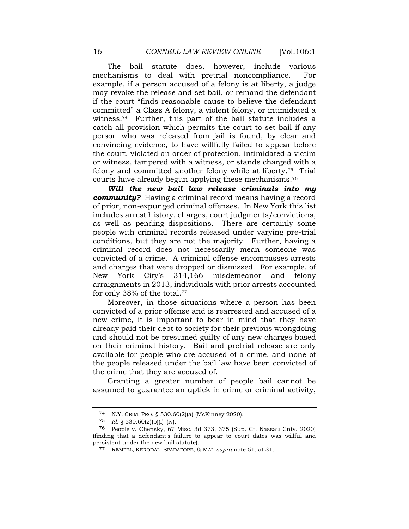The bail statute does, however, include various mechanisms to deal with pretrial noncompliance. For example, if a person accused of a felony is at liberty, a judge may revoke the release and set bail, or remand the defendant if the court "finds reasonable cause to believe the defendant committed" a Class A felony, a violent felony, or intimidated a witness.74 Further, this part of the bail statute includes a catch-all provision which permits the court to set bail if any person who was released from jail is found, by clear and convincing evidence, to have willfully failed to appear before the court, violated an order of protection, intimidated a victim or witness, tampered with a witness, or stands charged with a felony and committed another felony while at liberty.75 Trial courts have already begun applying these mechanisms.<sup>76</sup>

*Will the new bail law release criminals into my community?* Having a criminal record means having a record of prior, non-expunged criminal offenses. In New York this list includes arrest history, charges, court judgments/convictions, as well as pending dispositions. There are certainly some people with criminal records released under varying pre-trial conditions, but they are not the majority. Further, having a criminal record does not necessarily mean someone was convicted of a crime. A criminal offense encompasses arrests and charges that were dropped or dismissed. For example, of New York City's 314,166 misdemeanor and felony arraignments in 2013, individuals with prior arrests accounted for only 38% of the total. 77

Moreover, in those situations where a person has been convicted of a prior offense and is rearrested and accused of a new crime, it is important to bear in mind that they have already paid their debt to society for their previous wrongdoing and should not be presumed guilty of any new charges based on their criminal history. Bail and pretrial release are only available for people who are accused of a crime, and none of the people released under the bail law have been convicted of the crime that they are accused of.

Granting a greater number of people bail cannot be assumed to guarantee an uptick in crime or criminal activity,

<sup>74</sup> N.Y. CRIM. PRO. § 530.60(2)(a) (McKinney 2020).

<sup>75</sup> *Id.* § 530.60(2)(b)(i)–(iv).

<sup>76</sup> People v. Chensky, 67 Misc. 3d 373, 375 (Sup. Ct. Nassau Cnty. 2020) (finding that a defendant's failure to appear to court dates was willful and persistent under the new bail statute).

<sup>77</sup> REMPEL, KERODAL, SPADAFORE, & MAI, *supra* note 51, at 31.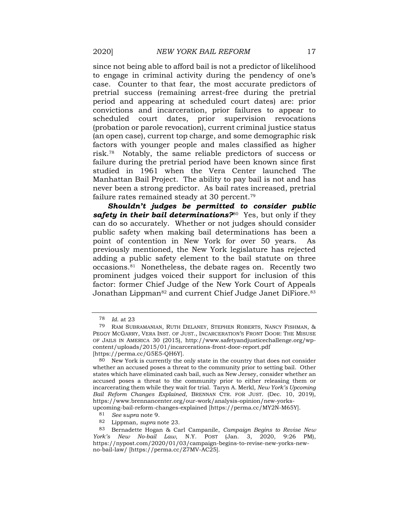since not being able to afford bail is not a predictor of likelihood to engage in criminal activity during the pendency of one's case. Counter to that fear, the most accurate predictors of pretrial success (remaining arrest-free during the pretrial period and appearing at scheduled court dates) are: prior convictions and incarceration, prior failures to appear to scheduled court dates, prior supervision revocations (probation or parole revocation), current criminal justice status (an open case), current top charge, and some demographic risk factors with younger people and males classified as higher risk.78 Notably, the same reliable predictors of success or failure during the pretrial period have been known since first studied in 1961 when the Vera Center launched The Manhattan Bail Project. The ability to pay bail is not and has never been a strong predictor. As bail rates increased, pretrial failure rates remained steady at 30 percent.<sup>79</sup>

*Shouldn't judges be permitted to consider public safety in their bail determinations?*<sup>80</sup> Yes, but only if they can do so accurately. Whether or not judges should consider public safety when making bail determinations has been a point of contention in New York for over 50 years. As previously mentioned, the New York legislature has rejected adding a public safety element to the bail statute on three occasions.81 Nonetheless, the debate rages on. Recently two prominent judges voiced their support for inclusion of this factor: former Chief Judge of the New York Court of Appeals Jonathan Lippman<sup>82</sup> and current Chief Judge Janet DiFiore.<sup>83</sup>

<sup>78</sup> *Id*. at 23

<sup>79</sup> RAM SUBRAMANIAN, RUTH DELANEY, STEPHEN ROBERTS, NANCY FISHMAN, & PEGGY MCGARRY, VERA INST. OF JUST., INCARCERATION'S FRONT DOOR: THE MISUSE OF JAILS IN AMERICA 30 (2015), [http://www.safetyandjusticechallenge.org/wp](about:blank)[content/uploads/2015/01/incarcerations-front-door-report.pdf](about:blank)

<sup>[</sup>https://perma.cc/G5E5-QH6Y].

<sup>80</sup> New York is currently the only state in the country that does not consider whether an accused poses a threat to the community prior to setting bail. Other states which have eliminated cash bail, such as New Jersey, consider whether an accused poses a threat to the community prior to either releasing them or incarcerating them while they wait for trial. Taryn A. Merkl, *New York's Upcoming Bail Reform Changes Explained*, BRENNAN CTR. FOR JUST. (Dec. 10, 2019), [https://www.brennancenter.org/our-work/analysis-opinion/new-yorks-](about:blank)

[upcoming-bail-reform-changes-explained](about:blank) [https://perma.cc/MY2N-M65Y].

<sup>81</sup> *See* s*upra* note 9.

<sup>82</sup> Lippman, *supra* note 23.

<sup>83</sup> Bernadette Hogan & Carl Campanile, *Campaign Begins to Revise New York's New No-bail Law*, N.Y. POST (Jan. 3, 2020, 9:26 PM), [https://nypost.com/2020/01/03/campaign-begins-to-revise-new-yorks-new](about:blank)[no-bail-law/](about:blank) [https://perma.cc/Z7MV-AC25].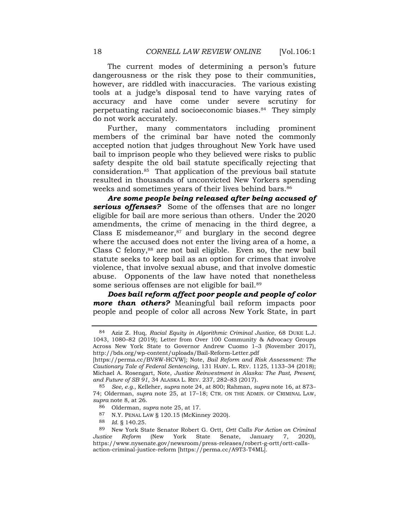The current modes of determining a person's future dangerousness or the risk they pose to their communities, however, are riddled with inaccuracies. The various existing tools at a judge's disposal tend to have varying rates of accuracy and have come under severe scrutiny for perpetuating racial and socioeconomic biases.84 They simply do not work accurately.

Further, many commentators including prominent members of the criminal bar have noted the commonly accepted notion that judges throughout New York have used bail to imprison people who they believed were risks to public safety despite the old bail statute specifically rejecting that consideration.85 That application of the previous bail statute resulted in thousands of unconvicted New Yorkers spending weeks and sometimes years of their lives behind bars.<sup>86</sup>

*Are some people being released after being accused of serious offenses?* Some of the offenses that are no longer eligible for bail are more serious than others. Under the 2020 amendments, the crime of menacing in the third degree, a Class E misdemeanor, $87$  and burglary in the second degree where the accused does not enter the living area of a home, a Class C felony,<sup>88</sup> are not bail eligible. Even so, the new bail statute seeks to keep bail as an option for crimes that involve violence, that involve sexual abuse, and that involve domestic abuse. Opponents of the law have noted that nonetheless some serious offenses are not eligible for bail.<sup>89</sup>

*Does bail reform affect poor people and people of color more than others?* Meaningful bail reform impacts poor people and people of color all across New York State, in part

<sup>84</sup> Aziz Z. Huq, *Racial Equity in Algorithmic Criminal Justice*, 68 DUKE L.J. 1043, 1080–82 (2019); Letter from Over 100 Community & Advocacy Groups Across New York State to Governor Andrew Cuomo 1–3 (November 2017), [http://bds.org/wp-content/uploads/Bail-Reform-Letter.pdf](about:blank)

<sup>[</sup>https://perma.cc/BV8W-HCVW]; Note, *Bail Reform and Risk Assessment: The Cautionary Tale of Federal Sentencing*, 131 HARV. L. REV. 1125, 1133–34 (2018); Michael A. Rosengart, Note, *Justice Reinvestment in Alaska: The Past, Present, and Future of SB 91*, 34 ALASKA L. REV. 237, 282–83 (2017).

<sup>85</sup> *See, e.g.*, Kelleher, *supra* note 24, at 800; Rahman, *supra* note 16, at 873– 74; Olderman, *supra* note 25, at 17–18; CTR. ON THE ADMIN. OF CRIMINAL LAW, *supra* note 8, at 26.

<sup>86</sup> Olderman, *supra* note 25, at 17.

<sup>87</sup> N.Y. PENAL LAW § 120.15 (McKinney 2020).

<sup>88</sup> *Id.* § 140.25.

<sup>89</sup> New York State Senator Robert G. Ortt, *Ortt Calls For Action on Criminal Justice Reform* (New York State Senate, January 7, 2020), https://www.nysenate.gov/newsroom/press-releases/robert-g-ortt/ortt-callsaction-criminal-justice-reform [https://perma.cc/A9T3-T4ML].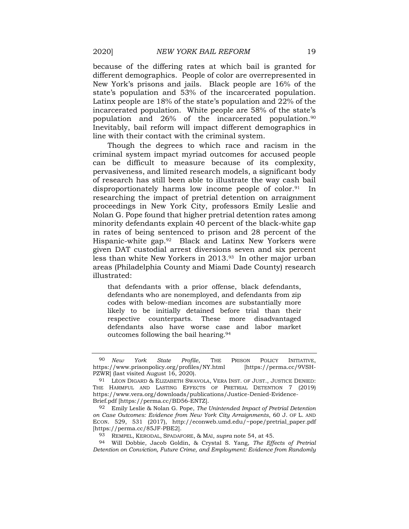because of the differing rates at which bail is granted for different demographics. People of color are overrepresented in New York's prisons and jails. Black people are 16% of the state's population and 53% of the incarcerated population. Latinx people are 18% of the state's population and 22% of the incarcerated population. White people are 58% of the state's population and 26% of the incarcerated population.<sup>90</sup> Inevitably, bail reform will impact different demographics in line with their contact with the criminal system.

Though the degrees to which race and racism in the criminal system impact myriad outcomes for accused people can be difficult to measure because of its complexity, pervasiveness, and limited research models, a significant body of research has still been able to illustrate the way cash bail disproportionately harms low income people of color.<sup>91</sup> In researching the impact of pretrial detention on arraignment proceedings in New York City, professors Emily Leslie and Nolan G. Pope found that higher pretrial detention rates among minority defendants explain 40 percent of the black-white gap in rates of being sentenced to prison and 28 percent of the Hispanic-white gap.92 Black and Latinx New Yorkers were given DAT custodial arrest diversions seven and six percent less than white New Yorkers in 2013.93 In other major urban areas (Philadelphia County and Miami Dade County) research illustrated:

that defendants with a prior offense, black defendants, defendants who are nonemployed, and defendants from zip codes with below-median incomes are substantially more likely to be initially detained before trial than their respective counterparts. These more disadvantaged defendants also have worse case and labor market outcomes following the bail hearing. 94

<sup>90</sup> *New York State Profile*, THE PRISON POLICY INITIATIVE,<br>ttps://www.prisonpolicy.org/profiles/NY.html [https://perma.cc/9VSH[https://www.prisonpolicy.org/profiles/NY.html](about:blank) PZWR] (last visited August 16, 2020).

<sup>91</sup> LÉON DIGARD & ELIZABETH SWAVOLA, VERA INST. OF JUST., JUSTICE DENIED: THE HARMFUL AND LASTING EFFECTS OF PRETRIAL DETENTION 7 (2019) [https://www.vera.org/downloads/publications/Justice-Denied-Evidence-](about:blank)[Brief.pdf](about:blank) [https://perma.cc/BD56-ENTZ].

<sup>92</sup> Emily Leslie & Nolan G. Pope, *The Unintended Impact of Pretrial Detention on Case Outcomes: Evidence from New York City Arraignments*, 60 J. OF L. AND ECON. 529, 531 (2017), http://econweb.umd.edu/~pope/pretrial\_paper.pdf [https://perma.cc/85JF-PBE2].

<sup>93</sup> REMPEL, KERODAL, SPADAFORE, & MAI, *supra* note 54, at 45.

<sup>94</sup> Will Dobbie, Jacob Goldin, & Crystal S. Yang, *The Effects of Pretrial Detention on Conviction, Future Crime, and Employment: Evidence from Randomly*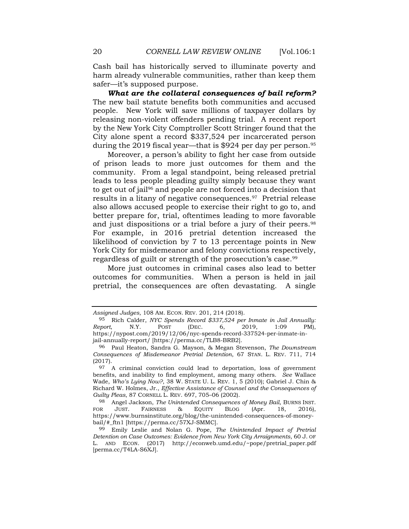Cash bail has historically served to illuminate poverty and harm already vulnerable communities, rather than keep them safer—it's supposed purpose.

*What are the collateral consequences of bail reform?* The new bail statute benefits both communities and accused people. New York will save millions of taxpayer dollars by releasing non-violent offenders pending trial. A recent report by the New York City Comptroller Scott Stringer found that the City alone spent a record \$337,524 per incarcerated person during the 2019 fiscal year—that is \$924 per day per person.<sup>95</sup>

Moreover, a person's ability to fight her case from outside of prison leads to more just outcomes for them and the community. From a legal standpoint, being released pretrial leads to less people pleading guilty simply because they want to get out of jail<sup>96</sup> and people are not forced into a decision that results in a litany of negative consequences.97 Pretrial release also allows accused people to exercise their right to go to, and better prepare for, trial, oftentimes leading to more favorable and just dispositions or a trial before a jury of their peers.<sup>98</sup> For example, in 2016 pretrial detention increased the likelihood of conviction by 7 to 13 percentage points in New York City for misdemeanor and felony convictions respectively, regardless of guilt or strength of the prosecution's case.<sup>99</sup>

More just outcomes in criminal cases also lead to better outcomes for communities. When a person is held in jail pretrial, the consequences are often devastating. A single

*Assigned Judges*, 108 AM. ECON. REV*.* 201, 214 (2018).

<sup>95</sup> Rich Calder, *NYC Spends Record \$337,524 per Inmate in Jail Annually: Report*, N.Y. POST (DEC. 6, 2019, 1:09 PM), [https://nypost.com/2019/12/06/nyc-spends-record-337524-per-inmate-in](about:blank)[jail-annually-report/](about:blank) [https://perma.cc/TLB8-BRB2].

<sup>96</sup> Paul Heaton, Sandra G. Mayson, & Megan Stevenson, *The Downstream Consequences of Misdemeanor Pretrial Detention*, 67 STAN. L. REV. 711, 714 (2017).

<sup>97</sup> A criminal conviction could lead to deportation, loss of government benefits, and inability to find employment, among many others. *See* Wallace Wade, *Who's Lying Now?*, 38 W. STATE U. L. REV. 1, 5 (2010); Gabriel J. Chin & Richard W. Holmes, Jr., *Effective Assistance of Counsel and the Consequences of Guilty Pleas*, 87 CORNELL L. REV. 697, 705–06 (2002).

<sup>98</sup> Angel Jackson, *The Unintended Consequences of Money Bail*, BURNS INST. FOR JUST. FAIRNESS & EQUITY BLOG (Apr. 18, 2016), [https://www.burnsinstitute.org/blog/the-unintended-consequences-of-money](about:blank#_ftn1)[bail/#\\_ftn1](about:blank#_ftn1) [https://perma.cc/57XJ-SMMC].

<sup>99</sup> Emily Leslie and Nolan G. Pope, *The Unintended Impact of Pretrial Detention on Case Outcomes: Evidence from New York City Arraignments*, 60 J. OF L. AND ECON. (2017) [http://econweb.umd.edu/~pope/pretrial\\_paper.pdf](about:blank) [perma.cc/T4LA-S6XJ].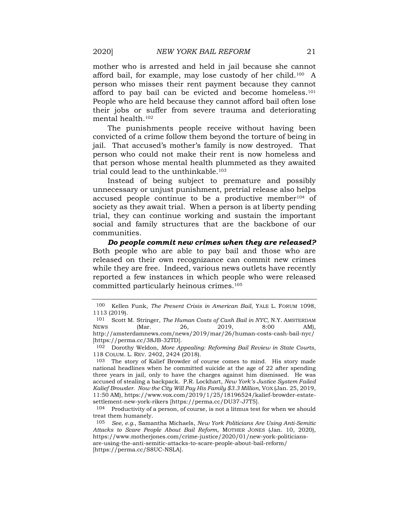mother who is arrested and held in jail because she cannot afford bail, for example, may lose custody of her child.100 A person who misses their rent payment because they cannot afford to pay bail can be evicted and become homeless.<sup>101</sup> People who are held because they cannot afford bail often lose their jobs or suffer from severe trauma and deteriorating mental health.<sup>102</sup>

The punishments people receive without having been convicted of a crime follow them beyond the torture of being in jail. That accused's mother's family is now destroyed. That person who could not make their rent is now homeless and that person whose mental health plummeted as they awaited trial could lead to the unthinkable.<sup>103</sup>

Instead of being subject to premature and possibly unnecessary or unjust punishment, pretrial release also helps accused people continue to be a productive member<sup>104</sup> of society as they await trial. When a person is at liberty pending trial, they can continue working and sustain the important social and family structures that are the backbone of our communities.

*Do people commit new crimes when they are released?* Both people who are able to pay bail and those who are released on their own recognizance can commit new crimes while they are free. Indeed, various news outlets have recently reported a few instances in which people who were released committed particularly heinous crimes.<sup>105</sup>

102 Dorothy Weldon, *More Appealing: Reforming Bail Review in State Courts*, 118 COLUM. L. REV. 2402, 2424 (2018).

103 The story of Kalief Browder of course comes to mind. His story made national headlines when he committed suicide at the age of 22 after spending three years in jail, only to have the charges against him dismissed. He was accused of stealing a backpack. P.R. Lockhart, *New York's Justice System Failed Kalief Browder. Now the City Will Pay His Family \$3.3 Million*, VOX (Jan. 25, 2019, 11:50 AM)[, https://www.vox.com/2019/1/25/18196524/kalief-browder-estate](about:blank)[settlement-new-york-rikers](about:blank) [https://perma.cc/DU37-J7T5].

<sup>100</sup> Kellen Funk, *The Present Crisis in American Bail*, YALE L. FORUM 1098, 1113 (2019).

<sup>101</sup> Scott M. Stringer, *The Human Costs of Cash Bail in NYC*, N.Y. AMSTERDAM NEWS (Mar. 26, 2019, 8:00 AM), [http://amsterdamnews.com/news/2019/mar/26/human-costs-cash-bail-nyc/](about:blank) [https://perma.cc/38JB-32TD].

 $104$  Productivity of a person, of course, is not a litmus test for when we should treat them humanely.

<sup>105</sup> *See, e.g.*, Samantha Michaels, *New York Politicians Are Using Anti-Semitic Attacks to Scare People About Bail Reform*, MOTHER JONES (Jan. 10, 2020), [https://www.motherjones.com/crime-justice/2020/01/new-york-politicians](about:blank)[are-using-the-anti-semitic-attacks-to-scare-people-about-bail-reform/](about:blank) [https://perma.cc/S8UC-NSLA].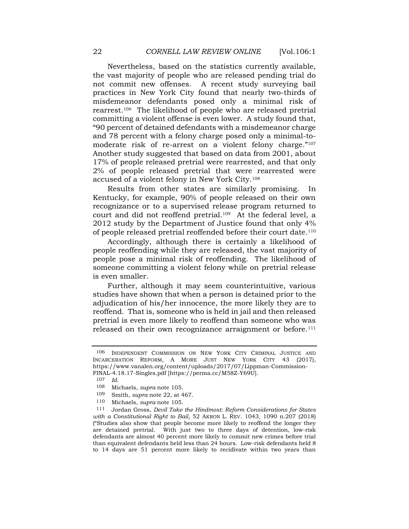Nevertheless, based on the statistics currently available, the vast majority of people who are released pending trial do not commit new offenses. A recent study surveying bail practices in New York City found that nearly two-thirds of misdemeanor defendants posed only a minimal risk of rearrest.106 The likelihood of people who are released pretrial committing a violent offense is even lower. A study found that, "90 percent of detained defendants with a misdemeanor charge and 78 percent with a felony charge posed only a minimal-tomoderate risk of re-arrest on a violent felony charge."<sup>107</sup> Another study suggested that based on data from 2001, about 17% of people released pretrial were rearrested, and that only 2% of people released pretrial that were rearrested were accused of a violent felony in New York City.<sup>108</sup>

Results from other states are similarly promising. In Kentucky, for example, 90% of people released on their own recognizance or to a supervised release program returned to court and did not reoffend pretrial.<sup>109</sup> At the federal level, a 2012 study by the Department of Justice found that only 4% of people released pretrial reoffended before their court date.<sup>110</sup>

Accordingly, although there is certainly a likelihood of people reoffending while they are released, the vast majority of people pose a minimal risk of reoffending. The likelihood of someone committing a violent felony while on pretrial release is even smaller.

Further, although it may seem counterintuitive, various studies have shown that when a person is detained prior to the adjudication of his/her innocence, the more likely they are to reoffend. That is, someone who is held in jail and then released pretrial is even more likely to reoffend than someone who was released on their own recognizance arraignment or before.<sup>111</sup>

<sup>106</sup> INDEPENDENT COMMISSION ON NEW YORK CITY CRIMINAL JUSTICE AND INCARCERATION REFORM, A MORE JUST NEW YORK CITY 43 (2017), https://www.vanalen.org/content/uploads/2017/07/Lippman-Commission-FINAL-4.18.17-Singles.pdf [https://perma.cc/M58Z-Y69U].

<sup>107</sup> *Id.*

<sup>108</sup> Michaels, *supra* note 105.

<sup>109</sup> Smith, *supra* note 22, at 467.

<sup>110</sup> Michaels, *supra* note 105.

<sup>111</sup> Jordan Gross, *Devil Take the Hindmost: Reform Considerations for States with a Constitutional Right to Bail*, 52 AKRON L. REV. 1043, 1090 n.207 (2018) ("Studies also show that people become more likely to reoffend the longer they are detained pretrial. With just two to three days of detention, low-risk defendants are almost 40 percent more likely to commit new crimes before trial than equivalent defendants held less than 24 hours. Low-risk defendants held 8 to 14 days are 51 percent more likely to recidivate within two years than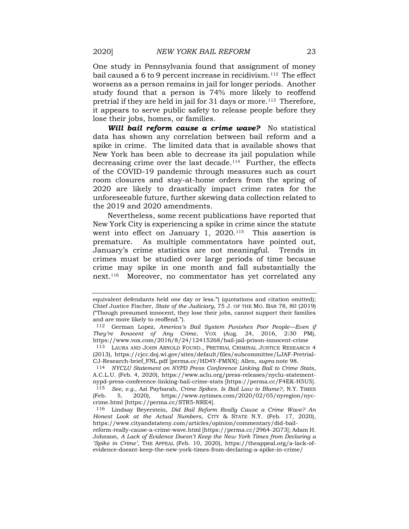One study in Pennsylvania found that assignment of money bail caused a 6 to 9 percent increase in recidivism.<sup>112</sup> The effect worsens as a person remains in jail for longer periods. Another study found that a person is 74% more likely to reoffend pretrial if they are held in jail for 31 days or more.<sup>113</sup> Therefore, it appears to serve public safety to release people before they lose their jobs, homes, or families.

*Will bail reform cause a crime wave?* No statistical data has shown any correlation between bail reform and a spike in crime. The limited data that is available shows that New York has been able to decrease its jail population while decreasing crime over the last decade.<sup>114</sup> Further, the effects of the COVID-19 pandemic through measures such as court room closures and stay-at-home orders from the spring of 2020 are likely to drastically impact crime rates for the unforeseeable future, further skewing data collection related to the 2019 and 2020 amendments.

Nevertheless, some recent publications have reported that New York City is experiencing a spike in crime since the statute went into effect on January 1,  $2020$ .<sup>115</sup> This assertion is premature. As multiple commentators have pointed out, January's crime statistics are not meaningful. Trends in crimes must be studied over large periods of time because crime may spike in one month and fall substantially the next.116 Moreover, no commentator has yet correlated any

equivalent defendants held one day or less.") (quotations and citation omitted); Chief Justice Fischer, *State of the Judiciary*, 75 J. OF THE MO. BAR 78, 80 (2019) ("Though presumed innocent, they lose their jobs, cannot support their families and are more likely to reoffend.").

<sup>112</sup> German Lopez, *America's Bail System Punishes Poor People—Even if They're Innocent of Any Crime*, VOX (Aug. 24, 2016, 2:30 PM), [https://www.vox.com/2016/8/24/12415268/bail-jail-prison-innocent-crime](about:blank)

<sup>113</sup> LAURA AND JOHN ARNOLD FOUND., PRETRIAL CRIMINAL JUSTICE RESEARCH 4 (2013), [https://cjcc.doj.wi.gov/sites/default/files/subcommittee/LJAF-Pretrial-](about:blank)[CJ-Research-brief\\_FNL.pdf](about:blank) [perma.cc/HD4Y-FMNX]; Allen, *supra* note 98.

<sup>114</sup> *NYCLU Statement on NYPD Press Conference Linking Bail to Crime Stats*, A.C.L.U. (Feb. 4, 2020), [https://www.aclu.org/press-releases/nyclu-statement](about:blank)[nypd-press-conference-linking-bail-crime-stats](about:blank) [https://perma.cc/F4EK-H5U5]. 115 *See, e.g.*, Azi Paybarah, *Crime Spikes. Is Bail Law to Blame?*, N.Y. TIMES (Feb. 5, 2020), [https://www.nytimes.com/2020/02/05/nyregion/nyc-](about:blank)

[crime.html](about:blank) [https://perma.cc/STR5-NRE4].

<sup>116</sup> Lindsay Beyerstein, *Did Bail Reform Really Cause a Crime Wave? An Honest Look at the Actual Numbers*, CITY & STATE N.Y. (Feb. 17, 2020), [https://www.cityandstateny.com/articles/opinion/commentary/did-bail-](about:blank)

[reform-really-cause-a-crime-wave.html](about:blank) [https://perma.cc/2964-2G73]; Adam H. Johnson, *A Lack of Evidence Doesn't Keep the New York Times from Declaring a 'Spike in Crime'*, THE APPEAL (Feb. 10, 2020), https://theappeal.org/a-lack-ofevidence-doesnt-keep-the-new-york-times-from-declaring-a-spike-in-crime/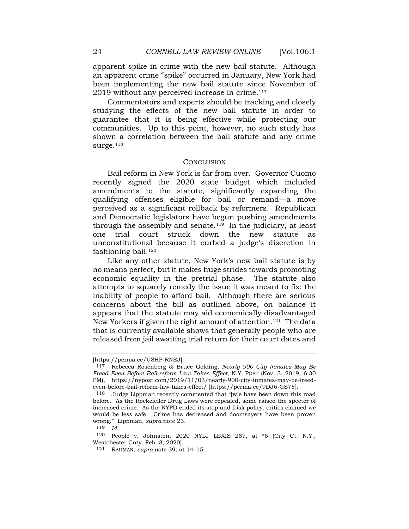apparent spike in crime with the new bail statute. Although an apparent crime "spike" occurred in January, New York had been implementing the new bail statute since November of 2019 without any perceived increase in crime.<sup>117</sup>

Commentators and experts should be tracking and closely studying the effects of the new bail statute in order to guarantee that it is being effective while protecting our communities. Up to this point, however, no such study has shown a correlation between the bail statute and any crime surge. $118$ 

### **CONCLUSION**

Bail reform in New York is far from over. Governor Cuomo recently signed the 2020 state budget which included amendments to the statute, significantly expanding the qualifying offenses eligible for bail or remand—a move perceived as a significant rollback by reformers. Republican and Democratic legislators have begun pushing amendments through the assembly and senate. $119$  In the judiciary, at least one trial court struck down the new statute as unconstitutional because it curbed a judge's discretion in fashioning bail. $120$ 

Like any other statute, New York's new bail statute is by no means perfect, but it makes huge strides towards promoting economic equality in the pretrial phase. The statute also attempts to squarely remedy the issue it was meant to fix: the inability of people to afford bail. Although there are serious concerns about the bill as outlined above, on balance it appears that the statute may aid economically disadvantaged New Yorkers if given the right amount of attention.<sup>121</sup> The data that is currently available shows that generally people who are released from jail awaiting trial return for their court dates and

119 *Id.*

<sup>[</sup>https://perma.cc/U8HP-RNEJ].

<sup>117</sup> Rebecca Rosenberg & Bruce Golding, *Nearly 900 City Inmates May Be Freed Even Before Bail-reform Law Takes Effect*, N.Y. POST (Nov. 3, 2019, 6:30 PM), [https://nypost.com/2019/11/03/nearly-900-city-inmates-may-be-freed](about:blank)[even-before-bail-reform-law-takes-effect/](about:blank) [https://perma.cc/9DJ6-GS7Y].

<sup>118</sup> Judge Lippman recently commented that "[w]e have been down this road before. As the Rockefeller Drug Laws were repealed, some raised the specter of increased crime. As the NYPD ended its stop and frisk policy, critics claimed we would be less safe. Crime has decreased and doomsayers have been proven wrong." Lippman, *supra* note 23.

<sup>120</sup> People v. Johnston, 2020 NYLJ LEXIS 287, at \*6 (City Ct. N.Y., Westchester Cnty. Feb. 3, 2020).

<sup>121</sup> RAHMAN, *supra* note 39, at 14–15.